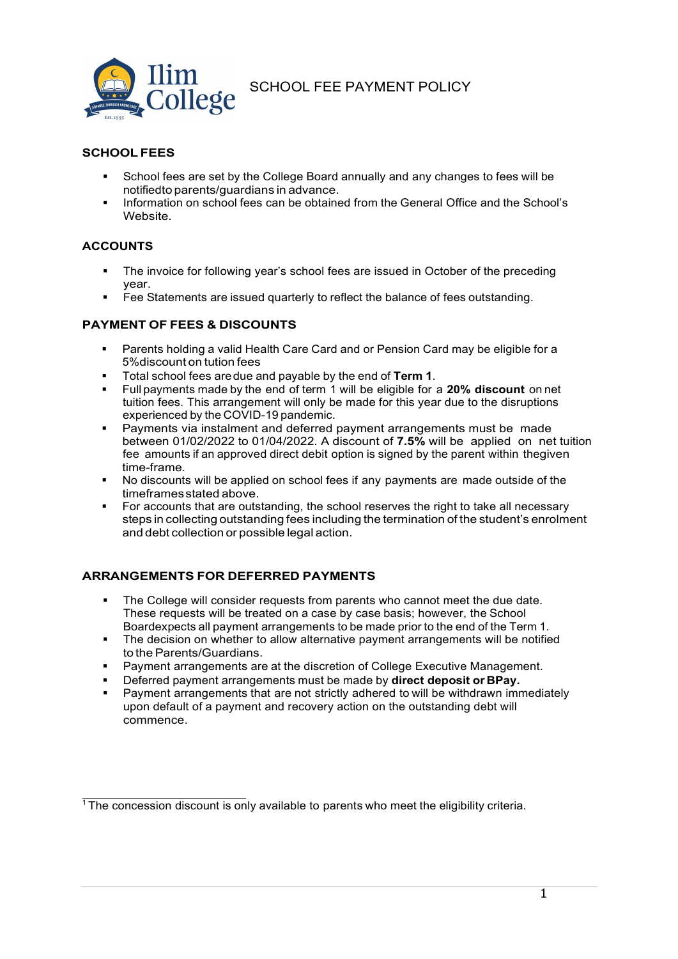

# SCHOOL FEE PAYMENT POLICY

# SCHOOL FEES

- School fees are set by the College Board annually and any changes to fees will be notified to parents/quardians in advance.
- Information on school fees can be obtained from the General Office and the School's Website.

# ACCOUNTS

- The invoice for following year's school fees are issued in October of the preceding year.
- Fee Statements are issued quarterly to reflect the balance of fees outstanding.

## PAYMENT OF FEES & DISCOUNTS

- Parents holding a valid Health Care Card and or Pension Card may be eligible for a 5% discount on tution fees
- Total school fees are due and payable by the end of Term 1.
- Full payments made by the end of term 1 will be eligible for a 20% discount on net tuition fees. This arrangement will only be made for this year due to the disruptions experienced by the COVID-19 pandemic.
- Payments via instalment and deferred payment arrangements must be made between 01/02/2022 to 01/04/2022. A discount of 7.5% will be applied on net tuition fee amounts if an approved direct debit option is signed by the parent within the given time-frame.
- No discounts will be applied on school fees if any payments are made outside of the timeframes stated above.
- For accounts that are outstanding, the school reserves the right to take all necessary steps in collecting outstanding fees including the termination of the student's enrolment and debt collection or possible legal action.

## ARRANGEMENTS FOR DEFERRED PAYMENTS

- The College will consider requests from parents who cannot meet the due date. These requests will be treated on a case by case basis; however, the School Board expects all payment arrangements to be made prior to the end of the Term 1.
- The decision on whether to allow alternative payment arrangements will be notified to the Parents/Guardians.
- Payment arrangements are at the discretion of College Executive Management.
- Deferred payment arrangements must be made by direct deposit or BPay.
- Payment arrangements that are not strictly adhered to will be withdrawn immediately upon default of a payment and recovery action on the outstanding debt will commence.

<sup>&</sup>lt;sup>1</sup> The concession discount is only available to parents who meet the eligibility criteria.